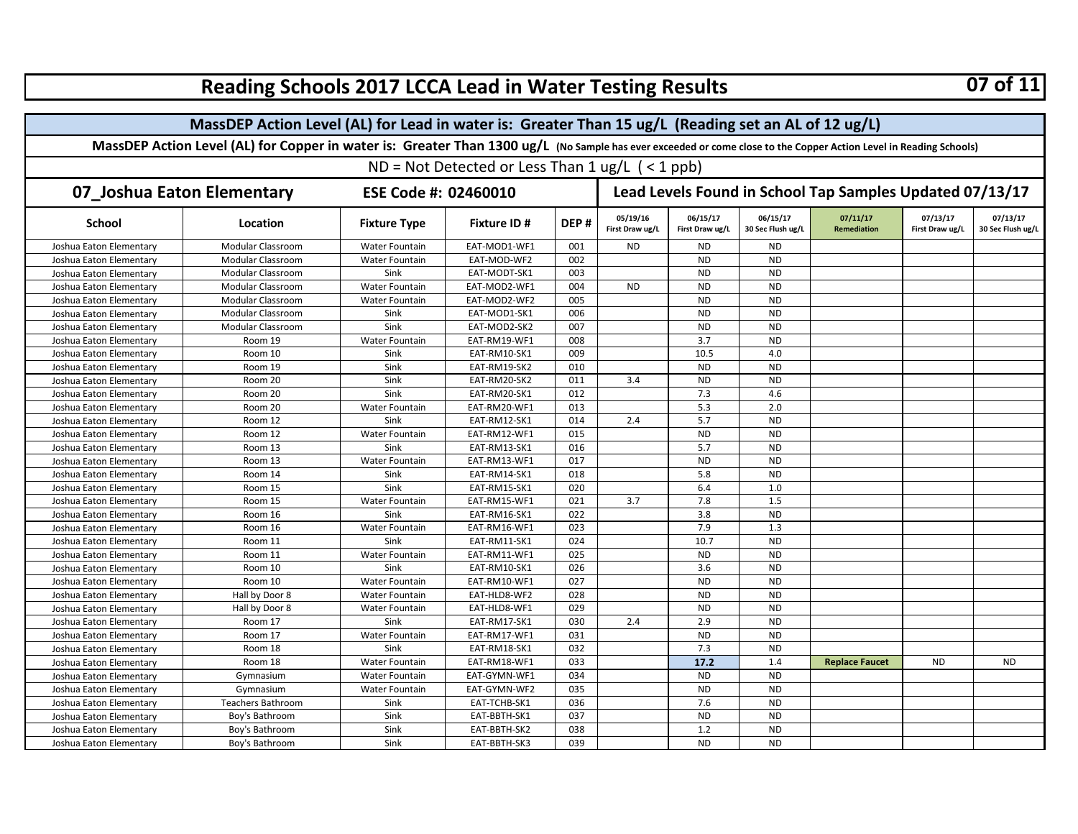| Reading Schools 2017 LCCA Lead in Water Testing Results                                                                                                            |                          |                     |                    |                                                          |                             |                             |                               |                                |                             | 07 OI 11                      |  |  |
|--------------------------------------------------------------------------------------------------------------------------------------------------------------------|--------------------------|---------------------|--------------------|----------------------------------------------------------|-----------------------------|-----------------------------|-------------------------------|--------------------------------|-----------------------------|-------------------------------|--|--|
| MassDEP Action Level (AL) for Lead in water is: Greater Than 15 ug/L (Reading set an AL of 12 ug/L)                                                                |                          |                     |                    |                                                          |                             |                             |                               |                                |                             |                               |  |  |
| MassDEP Action Level (AL) for Copper in water is: Greater Than 1300 ug/L (No Sample has ever exceeded or come close to the Copper Action Level in Reading Schools) |                          |                     |                    |                                                          |                             |                             |                               |                                |                             |                               |  |  |
| ND = Not Detected or Less Than $1 \text{ ug/L}$ ( < 1 ppb)                                                                                                         |                          |                     |                    |                                                          |                             |                             |                               |                                |                             |                               |  |  |
|                                                                                                                                                                    |                          |                     |                    |                                                          |                             |                             |                               |                                |                             |                               |  |  |
| 07_Joshua Eaton Elementary<br>ESE Code #: 02460010                                                                                                                 |                          |                     |                    | Lead Levels Found in School Tap Samples Updated 07/13/17 |                             |                             |                               |                                |                             |                               |  |  |
| <b>School</b>                                                                                                                                                      | Location                 | <b>Fixture Type</b> | <b>Fixture ID#</b> | DEP#                                                     | 05/19/16<br>First Draw ug/L | 06/15/17<br>First Draw ug/L | 06/15/17<br>30 Sec Flush ug/L | 07/11/17<br><b>Remediation</b> | 07/13/17<br>First Draw ug/L | 07/13/17<br>30 Sec Flush ug/L |  |  |
| Joshua Eaton Elementary                                                                                                                                            | Modular Classroom        | Water Fountain      | EAT-MOD1-WF1       | 001                                                      | <b>ND</b>                   | <b>ND</b>                   | <b>ND</b>                     |                                |                             |                               |  |  |
| Joshua Eaton Elementary                                                                                                                                            | Modular Classroom        | Water Fountain      | EAT-MOD-WF2        | 002                                                      |                             | <b>ND</b>                   | <b>ND</b>                     |                                |                             |                               |  |  |
| Joshua Eaton Elementary                                                                                                                                            | Modular Classroom        | Sink                | EAT-MODT-SK1       | 003                                                      |                             | <b>ND</b>                   | <b>ND</b>                     |                                |                             |                               |  |  |
| Joshua Eaton Elementary                                                                                                                                            | Modular Classroom        | Water Fountain      | EAT-MOD2-WF1       | 004                                                      | <b>ND</b>                   | <b>ND</b>                   | <b>ND</b>                     |                                |                             |                               |  |  |
| Joshua Eaton Elementary                                                                                                                                            | <b>Modular Classroom</b> | Water Fountain      | EAT-MOD2-WF2       | 005                                                      |                             | <b>ND</b>                   | <b>ND</b>                     |                                |                             |                               |  |  |
| Joshua Eaton Elementary                                                                                                                                            | Modular Classroom        | Sink                | EAT-MOD1-SK1       | 006                                                      |                             | <b>ND</b>                   | <b>ND</b>                     |                                |                             |                               |  |  |
| Joshua Eaton Elementary                                                                                                                                            | Modular Classroom        | Sink                | EAT-MOD2-SK2       | 007                                                      |                             | <b>ND</b>                   | <b>ND</b>                     |                                |                             |                               |  |  |
| Joshua Eaton Elementary                                                                                                                                            | Room 19                  | Water Fountain      | EAT-RM19-WF1       | 008                                                      |                             | 3.7                         | <b>ND</b>                     |                                |                             |                               |  |  |
| Joshua Eaton Elementary                                                                                                                                            | Room 10                  | Sink                | EAT-RM10-SK1       | 009                                                      |                             | 10.5                        | 4.0                           |                                |                             |                               |  |  |
| Joshua Eaton Elementary                                                                                                                                            | Room 19                  | Sink                | EAT-RM19-SK2       | 010                                                      |                             | <b>ND</b>                   | <b>ND</b>                     |                                |                             |                               |  |  |
| Joshua Eaton Elementary                                                                                                                                            | Room 20                  | Sink                | EAT-RM20-SK2       | 011                                                      | 3.4                         | <b>ND</b>                   | <b>ND</b>                     |                                |                             |                               |  |  |
| Joshua Eaton Elementary                                                                                                                                            | Room 20                  | Sink                | EAT-RM20-SK1       | 012                                                      |                             | 7.3                         | 4.6                           |                                |                             |                               |  |  |
| Joshua Eaton Elementary                                                                                                                                            | Room 20                  | Water Fountain      | EAT-RM20-WF1       | 013                                                      |                             | 5.3                         | 2.0                           |                                |                             |                               |  |  |
| Joshua Eaton Elementary                                                                                                                                            | Room 12                  | Sink                | EAT-RM12-SK1       | 014                                                      | 2.4                         | 5.7                         | <b>ND</b>                     |                                |                             |                               |  |  |
| Joshua Eaton Elementary                                                                                                                                            | Room 12                  | Water Fountain      | EAT-RM12-WF1       | 015                                                      |                             | <b>ND</b>                   | <b>ND</b>                     |                                |                             |                               |  |  |
| Joshua Eaton Elementary                                                                                                                                            | Room 13                  | Sink                | EAT-RM13-SK1       | 016                                                      |                             | 5.7                         | <b>ND</b>                     |                                |                             |                               |  |  |
| Joshua Eaton Elementary                                                                                                                                            | Room 13                  | Water Fountain      | EAT-RM13-WF1       | 017                                                      |                             | <b>ND</b>                   | <b>ND</b>                     |                                |                             |                               |  |  |
| Joshua Eaton Elementary                                                                                                                                            | Room 14                  | Sink                | EAT-RM14-SK1       | 018                                                      |                             | 5.8                         | <b>ND</b>                     |                                |                             |                               |  |  |
| Joshua Eaton Elementary                                                                                                                                            | Room 15                  | Sink                | EAT-RM15-SK1       | 020                                                      |                             | 6.4                         | 1.0                           |                                |                             |                               |  |  |
| Joshua Eaton Elementary                                                                                                                                            | Room 15                  | Water Fountain      | EAT-RM15-WF1       | 021                                                      | 3.7                         | 7.8                         | 1.5                           |                                |                             |                               |  |  |
| Joshua Eaton Elementary                                                                                                                                            | Room 16                  | Sink                | EAT-RM16-SK1       | 022                                                      |                             | 3.8                         | <b>ND</b>                     |                                |                             |                               |  |  |
| Joshua Eaton Elementary                                                                                                                                            | Room 16                  | Water Fountain      | EAT-RM16-WF1       | 023                                                      |                             | 7.9                         | 1.3                           |                                |                             |                               |  |  |
| Joshua Eaton Elementary                                                                                                                                            | Room 11                  | Sink                | EAT-RM11-SK1       | 024                                                      |                             | 10.7                        | <b>ND</b>                     |                                |                             |                               |  |  |
| Joshua Eaton Elementary                                                                                                                                            | Room 11                  | Water Fountain      | EAT-RM11-WF1       | 025                                                      |                             | <b>ND</b>                   | <b>ND</b>                     |                                |                             |                               |  |  |
| Joshua Eaton Elementary                                                                                                                                            | Room 10                  | Sink                | EAT-RM10-SK1       | 026                                                      |                             | 3.6                         | <b>ND</b>                     |                                |                             |                               |  |  |
| Joshua Eaton Elementary                                                                                                                                            | Room 10                  | Water Fountain      | EAT-RM10-WF1       | 027                                                      |                             | <b>ND</b>                   | <b>ND</b>                     |                                |                             |                               |  |  |
| Joshua Eaton Elementary                                                                                                                                            | Hall by Door 8           | Water Fountain      | EAT-HLD8-WF2       | 028                                                      |                             | <b>ND</b>                   | <b>ND</b>                     |                                |                             |                               |  |  |
| Joshua Eaton Elementary                                                                                                                                            | Hall by Door 8           | Water Fountain      | EAT-HLD8-WF1       | 029                                                      |                             | <b>ND</b>                   | <b>ND</b>                     |                                |                             |                               |  |  |
| Joshua Eaton Elementary                                                                                                                                            | Room 17                  | Sink                | EAT-RM17-SK1       | 030                                                      | 2.4                         | 2.9                         | <b>ND</b>                     |                                |                             |                               |  |  |
| Joshua Eaton Elementary                                                                                                                                            | Room 17                  | Water Fountain      | EAT-RM17-WF1       | 031                                                      |                             | <b>ND</b>                   | <b>ND</b>                     |                                |                             |                               |  |  |
| Joshua Eaton Elementary                                                                                                                                            | Room 18                  | Sink                | EAT-RM18-SK1       | 032                                                      |                             | 7.3                         | <b>ND</b>                     |                                |                             |                               |  |  |
| Joshua Eaton Elementary                                                                                                                                            | Room 18                  | Water Fountain      | EAT-RM18-WF1       | 033                                                      |                             | 17.2                        | 1.4                           | <b>Replace Faucet</b>          | <b>ND</b>                   | <b>ND</b>                     |  |  |
| Joshua Eaton Elementary                                                                                                                                            | Gymnasium                | Water Fountain      | EAT-GYMN-WF1       | 034                                                      |                             | <b>ND</b>                   | <b>ND</b>                     |                                |                             |                               |  |  |
| Joshua Eaton Elementary                                                                                                                                            | Gymnasium                | Water Fountain      | EAT-GYMN-WF2       | 035                                                      |                             | <b>ND</b>                   | <b>ND</b>                     |                                |                             |                               |  |  |
| Joshua Eaton Elementary                                                                                                                                            | Teachers Bathroom        | Sink                | EAT-TCHB-SK1       | 036                                                      |                             | 7.6                         | <b>ND</b>                     |                                |                             |                               |  |  |
| Joshua Eaton Elementary                                                                                                                                            | Boy's Bathroom           | Sink                | EAT-BBTH-SK1       | 037                                                      |                             | <b>ND</b>                   | <b>ND</b>                     |                                |                             |                               |  |  |
| Joshua Eaton Elementary                                                                                                                                            | Boy's Bathroom           | Sink                | EAT-BBTH-SK2       | 038                                                      |                             | 1.2                         | <b>ND</b>                     |                                |                             |                               |  |  |
| Joshua Eaton Elementary                                                                                                                                            | Boy's Bathroom           | Sink                | EAT-BBTH-SK3       | 039                                                      |                             | <b>ND</b>                   | <b>ND</b>                     |                                |                             |                               |  |  |

## **Reading Schools 2017 LCCA Lead in Water Testing Results 07 of 11**

 $\blacksquare$